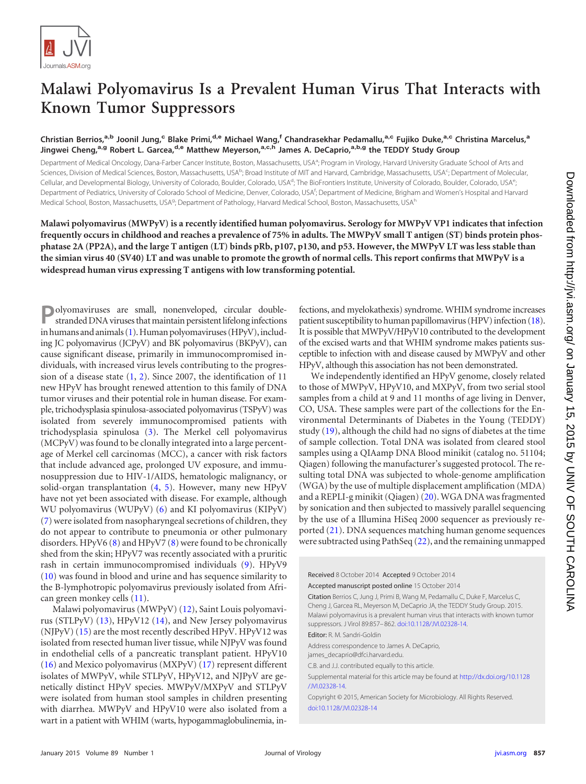

## **Malawi Polyomavirus Is a Prevalent Human Virus That Interacts with Known Tumor Suppressors**

## Christian Berrios,<sup>a,b</sup> Joonil Jung,<sup>c</sup> Blake Primi,<sup>d,e</sup> Michael Wang,<sup>f</sup> Chandrasekhar Pedamallu,<sup>a,c</sup> Fujiko Duke,<sup>a,c</sup> Christina Marcelus,<sup>a</sup> **Jingwei Cheng,a,g Robert L. Garcea,d,e Matthew Meyerson,a,c,h James A. DeCaprio,a,b,g the TEDDY Study Group**

Department of Medical Oncology, Dana-Farber Cancer Institute, Boston, Massachusetts, USA<sup>a</sup>; Program in Virology, Harvard University Graduate School of Arts and Sciences, Division of Medical Sciences, Boston, Massachusetts, USA<sup>b</sup>; Broad Institute of MIT and Harvard, Cambridge, Massachusetts, USA<sup>c</sup>; Department of Molecular, Cellular, and Developmental Biology, University of Colorado, Boulder, Colorado, USA<sup>d</sup>; The BioFrontiers Institute, University of Colorado, Boulder, Colorado, USA<sup>e</sup> ; Department of Pediatrics, University of Colorado School of Medicine, Denver, Colorado, USA<sup>f</sup>; Department of Medicine, Brigham and Women's Hospital and Harvard Medical School, Boston, Massachusetts, USA<sup>9</sup>; Department of Pathology, Harvard Medical School, Boston, Massachusetts, USA<sup>h</sup>

**Malawi polyomavirus (MWPyV) is a recently identified human polyomavirus. Serology for MWPyV VP1 indicates that infection frequently occurs in childhood and reaches a prevalence of 75% in adults. The MWPyV small T antigen (ST) binds protein phosphatase 2A (PP2A), and the large T antigen (LT) binds pRb, p107, p130, and p53. However, the MWPyV LT was less stable than the simian virus 40 (SV40) LT and was unable to promote the growth of normal cells. This report confirms that MWPyV is a widespread human virus expressing T antigens with low transforming potential.**

**P**olyomaviruses are small, nonenveloped, circular doublestranded DNA viruses that maintain persistent lifelong infections in humans and animals  $(1)$ . Human polyomaviruses  $(HPyV)$ , including JC polyomavirus (JCPyV) and BK polyomavirus (BKPyV), can cause significant disease, primarily in immunocompromised individuals, with increased virus levels contributing to the progression of a disease state  $(1, 2)$  $(1, 2)$  $(1, 2)$ . Since 2007, the identification of 11 new HPyV has brought renewed attention to this family of DNA tumor viruses and their potential role in human disease. For example, trichodysplasia spinulosa-associated polyomavirus (TSPyV) was isolated from severely immunocompromised patients with trichodysplasia spinulosa [\(3\)](#page-4-2). The Merkel cell polyomavirus (MCPyV) was found to be clonally integrated into a large percentage of Merkel cell carcinomas (MCC), a cancer with risk factors that include advanced age, prolonged UV exposure, and immunosuppression due to HIV-1/AIDS, hematologic malignancy, or solid-organ transplantation [\(4,](#page-4-3) [5\)](#page-4-4). However, many new HPyV have not yet been associated with disease. For example, although WU polyomavirus (WUPyV) [\(6\)](#page-4-5) and KI polyomavirus (KIPyV) [\(7\)](#page-4-6) were isolated from nasopharyngeal secretions of children, they do not appear to contribute to pneumonia or other pulmonary disorders. HPyV6 [\(8\)](#page-4-7) and HPyV7 [\(8\)](#page-4-7) were found to be chronically shed from the skin; HPyV7 was recently associated with a pruritic rash in certain immunocompromised individuals [\(9\)](#page-5-0). HPyV9 [\(10\)](#page-5-1) was found in blood and urine and has sequence similarity to the B-lymphotropic polyomavirus previously isolated from African green monkey cells [\(11\)](#page-5-2).

Malawi polyomavirus (MWPyV) [\(12\)](#page-5-3), Saint Louis polyomavirus (STLPyV) [\(13\)](#page-5-4), HPyV12 [\(14\)](#page-5-5), and New Jersey polyomavirus (NJPyV) [\(15\)](#page-5-6) are the most recently described HPyV. HPyV12 was isolated from resected human liver tissue, while NJPyV was found in endothelial cells of a pancreatic transplant patient. HPyV10 [\(16\)](#page-5-7) and Mexico polyomavirus (MXPyV) [\(17\)](#page-5-8) represent different isolates of MWPyV, while STLPyV, HPyV12, and NJPyV are genetically distinct HPyV species. MWPyV/MXPyV and STLPyV were isolated from human stool samples in children presenting with diarrhea. MWPyV and HPyV10 were also isolated from a wart in a patient with WHIM (warts, hypogammaglobulinemia, infections, and myelokathexis) syndrome. WHIM syndrome increases patient susceptibility to human papillomavirus (HPV) infection  $(18)$ . It is possible that MWPyV/HPyV10 contributed to the development of the excised warts and that WHIM syndrome makes patients susceptible to infection with and disease caused by MWPyV and other HPyV, although this association has not been demonstrated.

We independently identified an HPyV genome, closely related to those of MWPyV, HPyV10, and MXPyV, from two serial stool samples from a child at 9 and 11 months of age living in Denver, CO, USA. These samples were part of the collections for the Environmental Determinants of Diabetes in the Young (TEDDY) study [\(19\)](#page-5-10), although the child had no signs of diabetes at the time of sample collection. Total DNA was isolated from cleared stool samples using a QIAamp DNA Blood minikit (catalog no. 51104; Qiagen) following the manufacturer's suggested protocol. The resulting total DNA was subjected to whole-genome amplification (WGA) by the use of multiple displacement amplification (MDA) and a REPLI-g minikit (Qiagen) [\(20\)](#page-5-11). WGA DNA was fragmented by sonication and then subjected to massively parallel sequencing by the use of a Illumina HiSeq 2000 sequencer as previously reported [\(21\)](#page-5-12). DNA sequences matching human genome sequences were subtracted using PathSeq [\(22\)](#page-5-13), and the remaining unmapped

Citation Berrios C, Jung J, Primi B, Wang M, Pedamallu C, Duke F, Marcelus C, Cheng J, Garcea RL, Meyerson M, DeCaprio JA, the TEDDY Study Group. 2015. Malawi polyomavirus is a prevalent human virus that interacts with known tumor suppressors. J Virol 89:857–862. [doi:10.1128/JVI.02328-14.](http://dx.doi.org/10.1128/JVI.02328-14)

Editor: R. M. Sandri-Goldin

Address correspondence to James A. DeCaprio,

james\_decaprio@dfci.harvard.edu.

C.B. and J.J. contributed equally to this article.

Supplemental material for this article may be found at [http://dx.doi.org/10.1128](http://dx.doi.org/10.1128/JVI.02328-14) [/JVI.02328-14.](http://dx.doi.org/10.1128/JVI.02328-14)

Copyright © 2015, American Society for Microbiology. All Rights Reserved. [doi:10.1128/JVI.02328-14](http://dx.doi.org/10.1128/JVI.02328-14)

Received 8 October 2014 Accepted 9 October 2014 Accepted manuscript posted online 15 October 2014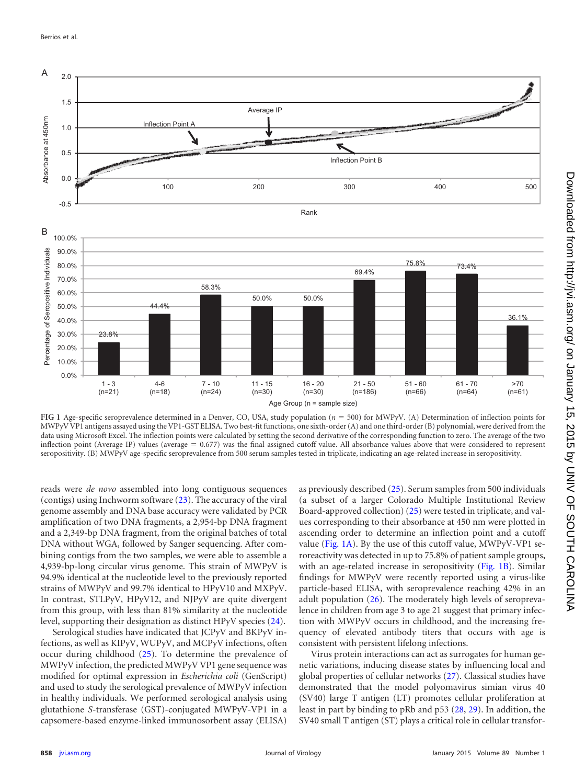

<span id="page-1-0"></span>FIG 1 Age-specific seroprevalence determined in a Denver, CO, USA, study population ( $n = 500$ ) for MWPyV. (A) Determination of inflection points for MWPyV VP1 antigens assayed using the VP1-GST ELISA. Two best-fit functions, one sixth-order (A) and one third-order (B) polynomial, were derived from the data using Microsoft Excel. The inflection points were calculated by setting the second derivative of the corresponding function to zero. The average of the two inflection point (Average IP) values (average = 0.677) was the final assigned cutoff value. All absorbance values above that were considered to represent seropositivity. (B) MWPyV age-specific seroprevalence from 500 serum samples tested in triplicate, indicating an age-related increase in seropositivity.

reads were *de novo* assembled into long contiguous sequences (contigs) using Inchworm software [\(23\)](#page-5-14). The accuracy of the viral genome assembly and DNA base accuracy were validated by PCR amplification of two DNA fragments, a 2,954-bp DNA fragment and a 2,349-bp DNA fragment, from the original batches of total DNA without WGA, followed by Sanger sequencing. After combining contigs from the two samples, we were able to assemble a 4,939-bp-long circular virus genome. This strain of MWPyV is 94.9% identical at the nucleotide level to the previously reported strains of MWPyV and 99.7% identical to HPyV10 and MXPyV. In contrast, STLPyV, HPyV12, and NJPyV are quite divergent from this group, with less than 81% similarity at the nucleotide level, supporting their designation as distinct HPyV species [\(24\)](#page-5-15).

Serological studies have indicated that JCPyV and BKPyV infections, as well as KIPyV, WUPyV, and MCPyV infections, often occur during childhood [\(25\)](#page-5-16). To determine the prevalence of MWPyV infection, the predicted MWPyV VP1 gene sequence was modified for optimal expression in *Escherichia coli* (GenScript) and used to study the serological prevalence of MWPyV infection in healthy individuals. We performed serological analysis using glutathione *S*-transferase (GST)-conjugated MWPyV-VP1 in a capsomere-based enzyme-linked immunosorbent assay (ELISA)

as previously described [\(25\)](#page-5-16). Serum samples from 500 individuals (a subset of a larger Colorado Multiple Institutional Review Board-approved collection) [\(25\)](#page-5-16) were tested in triplicate, and values corresponding to their absorbance at 450 nm were plotted in ascending order to determine an inflection point and a cutoff value [\(Fig. 1A\)](#page-1-0). By the use of this cutoff value, MWPyV-VP1 seroreactivity was detected in up to 75.8% of patient sample groups, with an age-related increase in seropositivity [\(Fig. 1B\)](#page-1-0). Similar findings for MWPyV were recently reported using a virus-like particle-based ELISA, with seroprevalence reaching 42% in an adult population [\(26\)](#page-5-17). The moderately high levels of seroprevalence in children from age 3 to age 21 suggest that primary infection with MWPyV occurs in childhood, and the increasing frequency of elevated antibody titers that occurs with age is consistent with persistent lifelong infections.

Virus protein interactions can act as surrogates for human genetic variations, inducing disease states by influencing local and global properties of cellular networks [\(27\)](#page-5-18). Classical studies have demonstrated that the model polyomavirus simian virus 40 (SV40) large T antigen (LT) promotes cellular proliferation at least in part by binding to pRb and p53 [\(28,](#page-5-19) [29\)](#page-5-20). In addition, the SV40 small T antigen (ST) plays a critical role in cellular transfor-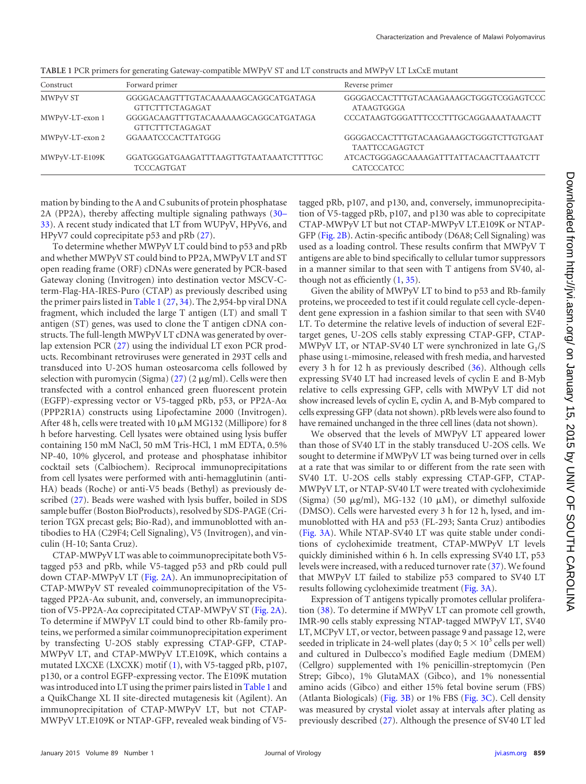| Construct       | Forward primer                                              | Reverse primer                                              |
|-----------------|-------------------------------------------------------------|-------------------------------------------------------------|
| MWPyV ST        | GGGGACAAGTTTGTACAAAAAAGCAGGCATGATAGA                        | GGGGACCACTTTGTACAAGAAAGCTGGGTCGGAGTCCC                      |
|                 | GTTCTTTCTAGAGAT                                             | ATAAGTGGGA                                                  |
| MWPyV-LT-exon 1 | GGGGACAAGTTTGTACAAAAAAGCAGGCATGATAGA<br>GTTCTTTCTAGAGAT     | CCCATAAGTGGGATTTCCCTTTGCAGGAAAATAAACTT                      |
| MWPyV-LT-exon 2 | GGAAATCCCACTTATGGG                                          | GGGGACCACTTTGTACAAGAAAGCTGGGTCTTGTGAAT<br>TAATTCCAGAGTCT    |
| MWPyV-LT-E109K  | GGATGGGATGAAGATTTAAGTTGTAATAAATCTTTTGC<br><b>TCCCAGTGAT</b> | ATCACTGGGAGCAAAAGATTTATTACAACTTAAATCTT<br><b>CATCCCATCC</b> |

<span id="page-2-0"></span>**TABLE 1** PCR primers for generating Gateway-compatible MWPyV ST and LT constructs and MWPyV LT LxCxE mutant

mation by binding to the A and C subunits of protein phosphatase 2A (PP2A), thereby affecting multiple signaling pathways [\(30](#page-5-21)[–](#page-5-22) [33\)](#page-5-23). A recent study indicated that LT from WUPyV, HPyV6, and HPyV7 could coprecipitate p53 and pRb [\(27\)](#page-5-18).

To determine whether MWPyV LT could bind to p53 and pRb and whether MWPyV ST could bind to PP2A, MWPyV LT and ST open reading frame (ORF) cDNAs were generated by PCR-based Gateway cloning (Invitrogen) into destination vector MSCV-Cterm-Flag-HA-IRES-Puro (CTAP) as previously described using the primer pairs listed in [Table 1](#page-2-0) [\(27,](#page-5-18) [34\)](#page-5-24). The 2,954-bp viral DNA fragment, which included the large T antigen (LT) and small T antigen (ST) genes, was used to clone the T antigen cDNA constructs. The full-length MWPyV LT cDNA was generated by overlap extension PCR [\(27\)](#page-5-18) using the individual LT exon PCR products. Recombinant retroviruses were generated in 293T cells and transduced into U-2OS human osteosarcoma cells followed by selection with puromycin (Sigma)  $(27)$   $(2 \mu g/ml)$ . Cells were then transfected with a control enhanced green fluorescent protein (EGFP)-expressing vector or V5-tagged pRb, p53, or PP2A-A $\alpha$ (PPP2R1A) constructs using Lipofectamine 2000 (Invitrogen). After 48 h, cells were treated with 10  $\mu$ M MG132 (Millipore) for 8 h before harvesting. Cell lysates were obtained using lysis buffer containing 150 mM NaCl, 50 mM Tris-HCl, 1 mM EDTA, 0.5% NP-40, 10% glycerol, and protease and phosphatase inhibitor cocktail sets (Calbiochem). Reciprocal immunoprecipitations from cell lysates were performed with anti-hemagglutinin (anti-HA) beads (Roche) or anti-V5 beads (Bethyl) as previously described [\(27\)](#page-5-18). Beads were washed with lysis buffer, boiled in SDS sample buffer (Boston BioProducts), resolved by SDS-PAGE (Criterion TGX precast gels; Bio-Rad), and immunoblotted with antibodies to HA (C29F4; Cell Signaling), V5 (Invitrogen), and vinculin (H-10; Santa Cruz).

CTAP-MWPyV LT was able to coimmunoprecipitate both V5 tagged p53 and pRb, while V5-tagged p53 and pRb could pull down CTAP-MWPyV LT [\(Fig. 2A\)](#page-3-0). An immunoprecipitation of CTAP-MWPyV ST revealed coimmunoprecipitation of the V5 tagged PP2A-A $\alpha$  subunit, and, conversely, an immunoprecipitation of V5-PP2A-A $\alpha$  coprecipitated CTAP-MWPyV ST [\(Fig. 2A\)](#page-3-0). To determine if MWPyV LT could bind to other Rb-family proteins, we performed a similar coimmunoprecipitation experiment by transfecting U-2OS stably expressing CTAP-GFP, CTAP-MWPyV LT, and CTAP-MWPyV LT.E109K, which contains a mutated LXCXE (LXCXK) motif [\(1\)](#page-4-0), with V5-tagged pRb, p107, p130, or a control EGFP-expressing vector. The E109K mutation was introduced into LT using the primer pairs listed in [Table 1](#page-2-0) and a QuikChange XL II site-directed mutagenesis kit (Agilent). An immunoprecipitation of CTAP-MWPyV LT, but not CTAP-MWPyV LT.E109K or NTAP-GFP, revealed weak binding of V5tagged pRb, p107, and p130, and, conversely, immunoprecipitation of V5-tagged pRb, p107, and p130 was able to coprecipitate CTAP-MWPyV LT but not CTAP-MWPyV LT.E109K or NTAP-GFP [\(Fig. 2B\)](#page-3-0). Actin-specific antibody (D6A8; Cell Signaling) was used as a loading control. These results confirm that MWPyV T antigens are able to bind specifically to cellular tumor suppressors in a manner similar to that seen with T antigens from SV40, although not as efficiently  $(1, 35)$  $(1, 35)$  $(1, 35)$ .

Given the ability of MWPyV LT to bind to p53 and Rb-family proteins, we proceeded to test if it could regulate cell cycle-dependent gene expression in a fashion similar to that seen with SV40 LT. To determine the relative levels of induction of several E2Ftarget genes, U-2OS cells stably expressing CTAP-GFP, CTAP-MWPyV LT, or NTAP-SV40 LT were synchronized in late  $G_1/S$ phase using L-mimosine, released with fresh media, and harvested every 3 h for 12 h as previously described [\(36\)](#page-5-26). Although cells expressing SV40 LT had increased levels of cyclin E and B-Myb relative to cells expressing GFP, cells with MWPyV LT did not show increased levels of cyclin E, cyclin A, and B-Myb compared to cells expressing GFP (data not shown). pRb levels were also found to have remained unchanged in the three cell lines (data not shown).

We observed that the levels of MWPyV LT appeared lower than those of SV40 LT in the stably transduced U-2OS cells. We sought to determine if MWPyV LT was being turned over in cells at a rate that was similar to or different from the rate seen with SV40 LT. U-2OS cells stably expressing CTAP-GFP, CTAP-MWPyV LT, or NTAP-SV40 LT were treated with cycloheximide (Sigma) (50  $\mu$ g/ml), MG-132 (10  $\mu$ M), or dimethyl sulfoxide (DMSO). Cells were harvested every 3 h for 12 h, lysed, and immunoblotted with HA and p53 (FL-293; Santa Cruz) antibodies [\(Fig. 3A\)](#page-4-8). While NTAP-SV40 LT was quite stable under conditions of cycloheximide treatment, CTAP-MWPyV LT levels quickly diminished within 6 h. In cells expressing SV40 LT, p53 levels were increased, with a reduced turnover rate [\(37\)](#page-5-27). We found that MWPyV LT failed to stabilize p53 compared to SV40 LT results following cycloheximide treatment [\(Fig. 3A\)](#page-4-8).

Expression of T antigens typically promotes cellular proliferation [\(38\)](#page-5-28). To determine if MWPyV LT can promote cell growth, IMR-90 cells stably expressing NTAP-tagged MWPyV LT, SV40 LT, MCPyV LT, or vector, between passage 9 and passage 12, were seeded in triplicate in 24-well plates (day 0;  $5 \times 10^3$  cells per well) and cultured in Dulbecco's modified Eagle medium (DMEM) (Cellgro) supplemented with 1% penicillin-streptomycin (Pen Strep; Gibco), 1% GlutaMAX (Gibco), and 1% nonessential amino acids (Gibco) and either 15% fetal bovine serum (FBS) (Atlanta Biologicals) [\(Fig. 3B\)](#page-4-8) or 1% FBS [\(Fig. 3C\)](#page-4-8). Cell density was measured by crystal violet assay at intervals after plating as previously described [\(27\)](#page-5-18). Although the presence of SV40 LT led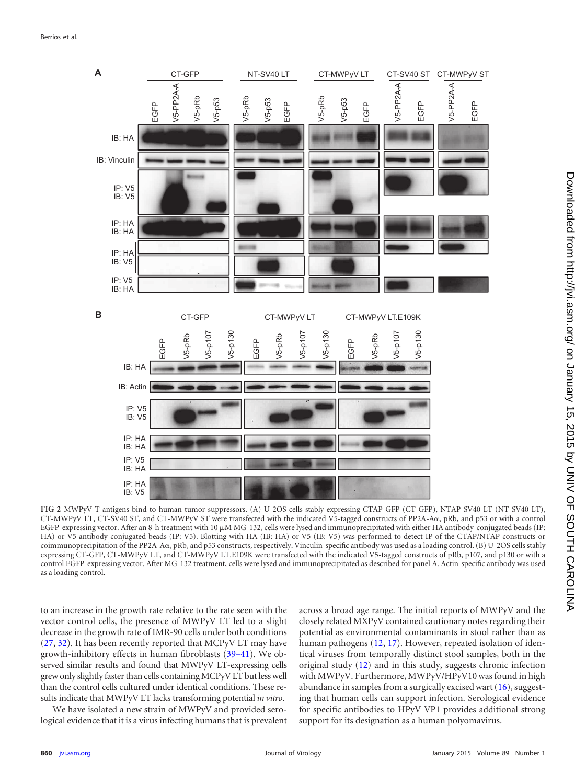

<span id="page-3-0"></span>**FIG 2** MWPyV T antigens bind to human tumor suppressors. (A) U-2OS cells stably expressing CTAP-GFP (CT-GFP), NTAP-SV40 LT (NT-SV40 LT), CT-MWPyV LT, CT-SV40 ST, and CT-MWPyV ST were transfected with the indicated V5-tagged constructs of PP2A-A $\alpha$ , pRb, and p53 or with a control EGFP-expressing vector. After an 8-h treatment with 10  $\mu$ M MG-132, cells were lysed and immunoprecipitated with either HA antibody-conjugated beads (IP: HA) or V5 antibody-conjugated beads (IP: V5). Blotting with HA (IB: HA) or V5 (IB: V5) was performed to detect IP of the CTAP/NTAP constructs or coimmunoprecipitation of the PP2A-A $\alpha$ , pRb, and p53 constructs, respectively. Vinculin-specific antibody was used as a loading control. (B) U-2OS cells stably expressing CT-GFP, CT-MWPyV LT, and CT-MWPyV LT.E109K were transfected with the indicated V5-tagged constructs of pRb, p107, and p130 or with a control EGFP-expressing vector. After MG-132 treatment, cells were lysed and immunoprecipitated as described for panel A. Actin-specific antibody was used as a loading control.

to an increase in the growth rate relative to the rate seen with the vector control cells, the presence of MWPyV LT led to a slight decrease in the growth rate of IMR-90 cells under both conditions [\(27,](#page-5-18) [32\)](#page-5-22). It has been recently reported that MCPyV LT may have growth-inhibitory effects in human fibroblasts [\(39](#page-5-29)[–](#page-5-30)[41\)](#page-5-31). We observed similar results and found that MWPyV LT-expressing cells grew only slightly faster than cells containing MCPyV LT but less well than the control cells cultured under identical conditions. These results indicate that MWPyV LT lacks transforming potential *in vitro*.

We have isolated a new strain of MWPyV and provided serological evidence that it is a virus infecting humans that is prevalent across a broad age range. The initial reports of MWPyV and the closely related MXPyV contained cautionary notes regarding their potential as environmental contaminants in stool rather than as human pathogens [\(12,](#page-5-3) [17\)](#page-5-8). However, repeated isolation of identical viruses from temporally distinct stool samples, both in the original study [\(12\)](#page-5-3) and in this study, suggests chronic infection with MWPyV. Furthermore, MWPyV/HPyV10 was found in high abundance in samples from a surgically excised wart [\(16\)](#page-5-7), suggesting that human cells can support infection. Serological evidence for specific antibodies to HPyV VP1 provides additional strong support for its designation as a human polyomavirus.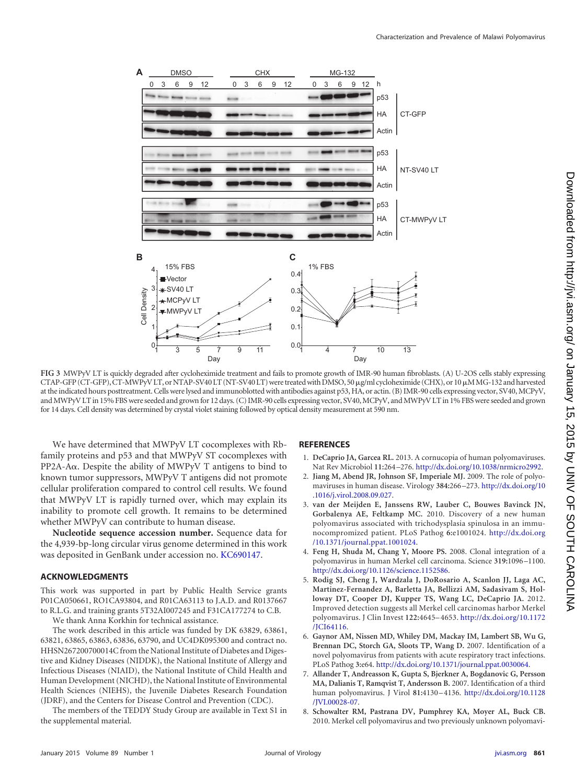

<span id="page-4-8"></span>**FIG 3** MWPyV LT is quickly degraded after cycloheximide treatment and fails to promote growth of IMR-90 human fibroblasts. (A) U-2OS cells stably expressing CTAP-GFP (CT-GFP), CT-MWPyV LT, or NTAP-SV40 LT (NT-SV40 LT) were treated with DMSO, 50 µg/ml cycloheximide (CHX), or 10 µM MG-132 and harvested at the indicated hours posttreatment. Cells were lysed and immunoblotted with antibodies against p53, HA, or actin. (B) IMR-90 cells expressing vector, SV40, MCPyV, and MWPyV LT in 15% FBS were seeded and grown for 12 days. (C) IMR-90 cells expressing vector, SV40, MCPyV, and MWPyV LT in 1% FBS were seeded and grown for 14 days. Cell density was determined by crystal violet staining followed by optical density measurement at 590 nm.

We have determined that MWPyV LT cocomplexes with Rbfamily proteins and p53 and that MWPyV ST cocomplexes with  $PP2A-A\alpha$ . Despite the ability of MWPyV T antigens to bind to known tumor suppressors, MWPyV T antigens did not promote cellular proliferation compared to control cell results. We found that MWPyV LT is rapidly turned over, which may explain its inability to promote cell growth. It remains to be determined whether MWPyV can contribute to human disease.

**Nucleotide sequence accession number.** Sequence data for the 4,939-bp-long circular virus genome determined in this work was deposited in GenBank under accession no. [KC690147.](http://www.ncbi.nlm.nih.gov/nuccore?term=KC690147)

## **ACKNOWLEDGMENTS**

This work was supported in part by Public Health Service grants P01CA050661, RO1CA93804, and R01CA63113 to J.A.D. and R0137667 to R.L.G. and training grants 5T32AI007245 and F31CA177274 to C.B.

We thank Anna Korkhin for technical assistance.

The work described in this article was funded by DK 63829, 63861, 63821, 63865, 63863, 63836, 63790, and UC4DK095300 and contract no. HHSN267200700014C from the National Institute of Diabetes and Digestive and Kidney Diseases (NIDDK), the National Institute of Allergy and Infectious Diseases (NIAID), the National Institute of Child Health and Human Development (NICHD), the National Institute of Environmental Health Sciences (NIEHS), the Juvenile Diabetes Research Foundation (JDRF), and the Centers for Disease Control and Prevention (CDC).

The members of the TEDDY Study Group are available in Text S1 in the supplemental material.

## <span id="page-4-0"></span>**REFERENCES**

- <span id="page-4-1"></span>1. **DeCaprio JA, Garcea RL.** 2013. A cornucopia of human polyomaviruses. Nat Rev Microbiol **11:**264 –276. [http://dx.doi.org/10.1038/nrmicro2992.](http://dx.doi.org/10.1038/nrmicro2992)
- 2. **Jiang M, Abend JR, Johnson SF, Imperiale MJ.** 2009. The role of polyomaviruses in human disease. Virology **384:**266 –273. [http://dx.doi.org/10](http://dx.doi.org/10.1016/j.virol.2008.09.027) [.1016/j.virol.2008.09.027.](http://dx.doi.org/10.1016/j.virol.2008.09.027)
- <span id="page-4-2"></span>3. **van der Meijden E, Janssens RW, Lauber C, Bouwes Bavinck JN, Gorbalenya AE, Feltkamp MC.** 2010. Discovery of a new human polyomavirus associated with trichodysplasia spinulosa in an immunocompromized patient. PLoS Pathog **6:**e1001024. [http://dx.doi.org](http://dx.doi.org/10.1371/journal.ppat.1001024) [/10.1371/journal.ppat.1001024.](http://dx.doi.org/10.1371/journal.ppat.1001024)
- <span id="page-4-3"></span>4. **Feng H, Shuda M, Chang Y, Moore PS.** 2008. Clonal integration of a polyomavirus in human Merkel cell carcinoma. Science **319:**1096 –1100. [http://dx.doi.org/10.1126/science.1152586.](http://dx.doi.org/10.1126/science.1152586)
- <span id="page-4-4"></span>5. **Rodig SJ, Cheng J, Wardzala J, DoRosario A, Scanlon JJ, Laga AC, Martinez-Fernandez A, Barletta JA, Bellizzi AM, Sadasivam S, Holloway DT, Cooper DJ, Kupper TS, Wang LC, DeCaprio JA.** 2012. Improved detection suggests all Merkel cell carcinomas harbor Merkel polyomavirus. J Clin Invest **122:**4645–4653. [http://dx.doi.org/10.1172](http://dx.doi.org/10.1172/JCI64116) [/JCI64116.](http://dx.doi.org/10.1172/JCI64116)
- <span id="page-4-5"></span>6. **Gaynor AM, Nissen MD, Whiley DM, Mackay IM, Lambert SB, Wu G, Brennan DC, Storch GA, Sloots TP, Wang D.** 2007. Identification of a novel polyomavirus from patients with acute respiratory tract infections. PLoS Pathog **3:**e64. [http://dx.doi.org/10.1371/journal.ppat.0030064.](http://dx.doi.org/10.1371/journal.ppat.0030064)
- <span id="page-4-6"></span>7. **Allander T, Andreasson K, Gupta S, Bjerkner A, Bogdanovic G, Persson MA, Dalianis T, Ramqvist T, Andersson B.** 2007. Identification of a third human polyomavirus. J Virol **81:**4130 –4136. [http://dx.doi.org/10.1128](http://dx.doi.org/10.1128/JVI.00028-07) [/JVI.00028-07.](http://dx.doi.org/10.1128/JVI.00028-07)
- <span id="page-4-7"></span>8. **Schowalter RM, Pastrana DV, Pumphrey KA, Moyer AL, Buck CB.** 2010. Merkel cell polyomavirus and two previously unknown polyomavi-